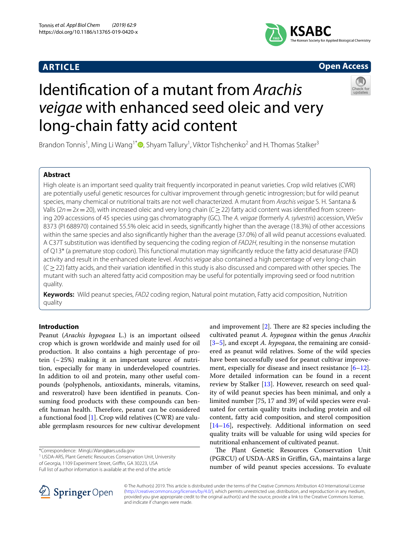## **ARTICLE**



# **Open Access**

# Identifcation of a mutant from *Arachis veigae* with enhanced seed oleic and very long-chain fatty acid content



Brandon Tonnis<sup>1</sup>[,](http://orcid.org/0000-0001-9406-8951) Ming Li Wang<sup>1\*</sup>®, Shyam Tallury<sup>1</sup>, Viktor Tishchenko<sup>2</sup> and H. Thomas Stalker<sup>3</sup>

## **Abstract**

High oleate is an important seed quality trait frequently incorporated in peanut varieties. Crop wild relatives (CWR) are potentially useful genetic resources for cultivar improvement through genetic introgression; but for wild peanut species, many chemical or nutritional traits are not well characterized. A mutant from *Arachis veigae* S. H. Santana & Valls (2*n*=2*x*=20), with increased oleic and very long chain (*C*≥22) fatty acid content was identifed from screening 209 accessions of 45 species using gas chromatography (GC). The *A. veigae* (formerly *A. sylvestris*) accession, VVeSv 8373 (PI 688970) contained 55.5% oleic acid in seeds, signifcantly higher than the average (18.3%) of other accessions within the same species and also signifcantly higher than the average (37.0%) of all wild peanut accessions evaluated. A C37T substitution was identifed by sequencing the coding region of *FAD2H*, resulting in the nonsense mutation of Q13\* (a premature stop codon). This functional mutation may signifcantly reduce the fatty acid desaturase (FAD) activity and result in the enhanced oleate level. *Arachis veigae* also contained a high percentage of very long-chain (*C*≥22) fatty acids, and their variation identifed in this study is also discussed and compared with other species. The mutant with such an altered fatty acid composition may be useful for potentially improving seed or food nutrition quality.

**Keywords:** Wild peanut species, *FAD2* coding region, Natural point mutation, Fatty acid composition, Nutrition quality

## **Introduction**

Peanut (*Arachis hypogaea* L.) is an important oilseed crop which is grown worldwide and mainly used for oil production. It also contains a high percentage of protein  $({\sim}25%)$  making it an important source of nutrition, especially for many in underdeveloped countries. In addition to oil and protein, many other useful compounds (polyphenols, antioxidants, minerals, vitamins, and resveratrol) have been identifed in peanuts. Consuming food products with these compounds can benefit human health. Therefore, peanut can be considered a functional food [[1\]](#page-6-0). Crop wild relatives (CWR) are valuable germplasm resources for new cultivar development

\*Correspondence: MingLi.Wang@ars.usda.gov

<sup>1</sup> USDA-ARS, Plant Genetic Resources Conservation Unit, University of Georgia, 1109 Experiment Street, Griffin, GA 30223, USA

Full list of author information is available at the end of the article



The Plant Genetic Resources Conservation Unit (PGRCU) of USDA-ARS in Griffin, GA, maintains a large number of wild peanut species accessions. To evaluate



© The Author(s) 2019. This article is distributed under the terms of the Creative Commons Attribution 4.0 International License [\(http://creativecommons.org/licenses/by/4.0/\)](http://creativecommons.org/licenses/by/4.0/), which permits unrestricted use, distribution, and reproduction in any medium, provided you give appropriate credit to the original author(s) and the source, provide a link to the Creative Commons license, and indicate if changes were made.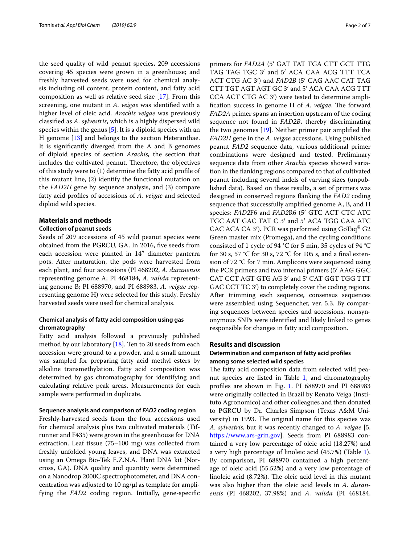the seed quality of wild peanut species, 209 accessions covering 45 species were grown in a greenhouse; and freshly harvested seeds were used for chemical analysis including oil content, protein content, and fatty acid composition as well as relative seed size [\[17](#page-6-9)]. From this screening, one mutant in *A. veigae* was identifed with a higher level of oleic acid. *Arachis veigae* was previously classifed as *A. sylvestris*, which is a highly dispersed wild species within the genus [\[5](#page-6-3)]. It is a diploid species with an H genome [[13\]](#page-6-6) and belongs to the section Heteranthae. It is signifcantly diverged from the A and B genomes of diploid species of section *Arachis,* the section that includes the cultivated peanut. Therefore, the objectives of this study were to (1) determine the fatty acid profle of this mutant line, (2) identify the functional mutation on the *FAD2H* gene by sequence analysis, and (3) compare fatty acid profles of accessions of *A. veigae* and selected diploid wild species.

#### **Materials and methods**

## **Collection of peanut seeds**

Seeds of 209 accessions of 45 wild peanut species were obtained from the PGRCU, GA. In 2016, fve seeds from each accession were planted in 14″ diameter panterra pots. After maturation, the pods were harvested from each plant, and four accessions (PI 468202, *A. duranensis* representing genome A; PI 468184, *A. valida* representing genome B; PI 688970, and PI 688983, *A. veigae* representing genome H) were selected for this study. Freshly harvested seeds were used for chemical analysis.

## **Chemical analysis of fatty acid composition using gas chromatography**

Fatty acid analysis followed a previously published method by our laboratory [\[18\]](#page-6-10). Ten to 20 seeds from each accession were ground to a powder, and a small amount was sampled for preparing fatty acid methyl esters by alkaline transmethylation. Fatty acid composition was determined by gas chromatography for identifying and calculating relative peak areas. Measurements for each sample were performed in duplicate.

#### **Sequence analysis and comparison of** *FAD2* **coding region**

Freshly-harvested seeds from the four accessions used for chemical analysis plus two cultivated materials (Tifrunner and F435) were grown in the greenhouse for DNA extraction. Leaf tissue (75–100 mg) was collected from freshly unfolded young leaves, and DNA was extracted using an Omega Bio-Tek E.Z.N.A. Plant DNA kit (Norcross, GA). DNA quality and quantity were determined on a Nanodrop 2000C spectrophotometer, and DNA concentration was adjusted to 10 ng/ $\mu$ l as template for amplifying the *FAD2* coding region. Initially, gene-specifc primers for *FAD2A* (5′ GAT TAT TGA CTT GCT TTG TAG TAG TGC 3′ and 5′ ACA CAA ACG TTT TCA ACT CTG AC 3′) and *FAD2B* (5′ CAG AAC CAT TAG CTT TGT AGT AGT GC 3′ and 5′ ACA CAA ACG TTT CCA ACT CTG AC 3′) were tested to determine amplification success in genome H of *A. veigae*. The forward *FAD2A* primer spans an insertion upstream of the coding sequence not found in *FAD2B*, thereby discriminating the two genomes [\[19](#page-6-11)]. Neither primer pair amplifed the *FAD2H* gene in the *A. veigae* accessions. Using published peanut *FAD2* sequence data, various additional primer combinations were designed and tested. Preliminary sequence data from other *Arachis* species showed variation in the fanking regions compared to that of cultivated peanut including several indels of varying sizes (unpublished data). Based on these results, a set of primers was designed in conserved regions fanking the *FAD2* coding sequence that successfully amplifed genome A, B, and H species: *FAD2*F6 and *FAD2*R6 (5′ GTC ACT CTC ATC TGC AAT GAC TAT C 3′ and 5′ ACA TGG CAA ATC CAC ACA CA 3′). PCR was performed using GoTaq® G2 Green master mix (Promega), and the cycling conditions consisted of 1 cycle of 94 °C for 5 min, 35 cycles of 94 °C for 30 s, 57 °C for 30 s, 72 °C for 105 s, and a fnal extension of 72 °C for 7 min. Amplicons were sequenced using the PCR primers and two internal primers (5′ AAG GGC CAT CCT AGT GTG AG 3′ and 5′ CAT GGT TGG TTT GAC CCT TC 3<sup>'</sup>) to completely cover the coding regions. After trimming each sequence, consensus sequences were assembled using Sequencher, ver. 5.3. By comparing sequences between species and accessions, nonsynonymous SNPs were identifed and likely linked to genes responsible for changes in fatty acid composition.

## **Results and discussion**

## **Determination and comparison of fatty acid profles among some selected wild species**

The fatty acid composition data from selected wild peanut species are listed in Table [1,](#page-2-0) and chromatography profles are shown in Fig. [1](#page-3-0). PI 688970 and PI 688983 were originally collected in Brazil by Renato Veiga (Instituto Agronomico) and other colleagues and then donated to PGRCU by Dr. Charles Simpson (Texas A&M University) in 1993. The original name for this species was *A. sylvestris*, but it was recently changed to *A. veigae* [5, <https://www.ars-grin.gov>]. Seeds from PI 688983 contained a very low percentage of oleic acid (18.27%) and a very high percentage of linoleic acid (45.7%) (Table [1](#page-2-0)). By comparison, PI 688970 contained a high percentage of oleic acid (55.52%) and a very low percentage of linoleic acid (8.72%). The oleic acid level in this mutant was also higher than the oleic acid levels in *A. duranensis* (PI 468202, 37.98%) and *A. valida* (PI 468184,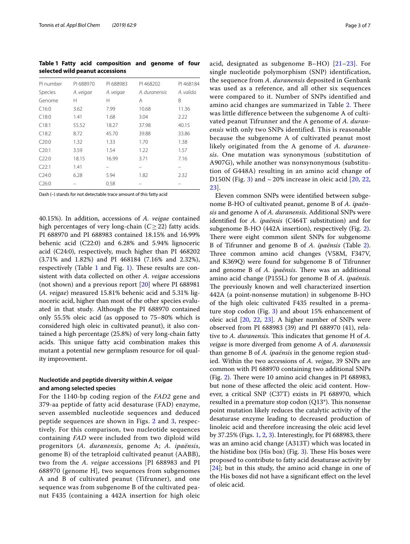<span id="page-2-0"></span>**Table 1 Fatty acid composition and genome of four selected wild peanut accessions**

| PI number | PI 688970 | PI 688983 | PI 468202     | PI 468184 |
|-----------|-----------|-----------|---------------|-----------|
| Species   | A. veigae | A. veigae | A. duranensis | A. valida |
| Genome    | н         | н         | A             | B         |
| C16:0     | 3.62      | 7.99      | 10.68         | 11.36     |
| C18:0     | 1.41      | 1.68      | 3.04          | 2.22      |
| C18:1     | 55.52     | 18.27     | 37.98         | 40.15     |
| C18:2     | 8.72      | 45.70     | 39.88         | 33.86     |
| C20:0     | 1.32      | 1.33      | 1.70          | 1.38      |
| C20:1     | 3.59      | 1.54      | 1.22          | 1.57      |
| C22:0     | 18.15     | 16.99     | 3.71          | 7.16      |
| C22:1     | 1.41      |           |               |           |
| C24:0     | 6.28      | 5.94      | 1.82          | 2.32      |
| C26:0     |           | 0.58      |               |           |

Dash (–) stands for not detectable trace amount of this fatty acid

40.15%). In addition, accessions of *A. veigae* contained high percentages of very long-chain (*C*≥22) fatty acids. PI 688970 and PI 688983 contained 18.15% and 16.99% behenic acid (C22:0) and 6.28% and 5.94% lignoceric acid (C24:0), respectively, much higher than PI 468202 (3.71% and 1.82%) and PI 468184 (7.16% and 2.32%), respectively (Table [1](#page-2-0) and Fig. [1\)](#page-3-0). These results are consistent with data collected on other *A. veigae* accessions (not shown) and a previous report [\[20](#page-6-12)] where PI 688981 (*A. veigae*) measured 15.81% behenic acid and 5.31% lignoceric acid, higher than most of the other species evaluated in that study. Although the PI 688970 contained only 55.5% oleic acid (as opposed to 75–80% which is considered high oleic in cultivated peanut), it also contained a high percentage (25.8%) of very long-chain fatty acids. This unique fatty acid combination makes this mutant a potential new germplasm resource for oil quality improvement.

### **Nucleotide and peptide diversity within** *A. veigae* **and among selected species**

For the 1140-bp coding region of the *FAD2* gene and 379-aa peptide of fatty acid desaturase (FAD) enzyme, seven assembled nucleotide sequences and deduced peptide sequences are shown in Figs. [2](#page-4-0) and [3,](#page-5-0) respectively. For this comparison, two nucleotide sequences containing *FAD* were included from two diploid wild progenitors (*A. duranensis*, genome A; *A. ipaënsis*, genome B) of the tetraploid cultivated peanut (AABB), two from the *A. veigae* accessions [PI 688983 and PI 688970 (genome H], two sequences from subgenomes A and B of cultivated peanut (Tifrunner), and one sequence was from subgenome B of the cultivated peanut F435 (containing a 442A insertion for high oleic acid, designated as subgenome B–HO) [[21](#page-6-13)[–23\]](#page-6-14). For single nucleotide polymorphism (SNP) identification, the sequence from *A. duranensis* deposited in Genbank was used as a reference, and all other six sequences were compared to it. Number of SNPs identified and amino acid changes are summarized in Table [2.](#page-6-15) There was little difference between the subgenome A of cultivated peanut Tifrunner and the A genome of *A. duranensis* with only two SNPs identified. This is reasonable because the subgenome A of cultivated peanut most likely originated from the A genome of *A. duranensis*. One mutation was synonymous (substitution of A907G), while another was nonsynonymous (substitution of G448A) resulting in an amino acid change of D150N (Fig. [3](#page-5-0)) and  $\sim$  [20](#page-6-12)% increase in oleic acid [20, [22](#page-6-16), [23\]](#page-6-14).

Eleven common SNPs were identifed between subgenome B-HO of cultivated peanut, genome B of *A. ipaënsis* and genome A of *A. duranensis*. Additional SNPs were identifed for *A. ipaënsis* (C464T substitution) and for subgenome B-HO (442A insertion), respectively (Fig. [2](#page-4-0)). There were eight common silent SNPs for subgenome B of Tifrunner and genome B of *A. ipaënsis* (Table [2](#page-6-15)). Three common amino acid changes (V58M, F347V, and K369Q) were found for subgenome B of Tifrunner and genome B of *A. ipaënsis*. There was an additional amino acid change (P155L) for genome B of *A. ipaënsis*. The previously known and well characterized insertion 442A (a point-nonsense mutation) in subgenome B-HO of the high oleic cultivated F435 resulted in a premature stop codon (Fig. [3](#page-5-0)) and about 15% enhancement of oleic acid [\[20,](#page-6-12) [22,](#page-6-16) [23](#page-6-14)]. A higher number of SNPs were observed from PI 688983 (39) and PI 688970 (41), relative to *A. duranensis*. This indicates that genome H of *A*. *veigae* is more diverged from genome A of *A. duranensis* than genome B of *A. ipaënsis* in the genome region studied. Within the two accessions of *A. veigae*, 39 SNPs are common with PI 688970 containing two additional SNPs (Fig. [2](#page-4-0)). There were 10 amino acid changes in PI 688983, but none of these afected the oleic acid content. However, a critical SNP (C37T) exists in PI 688970, which resulted in a premature stop codon  $(Q13^*)$ . This nonsense point mutation likely reduces the catalytic activity of the desaturase enzyme leading to decreased production of linoleic acid and therefore increasing the oleic acid level by 37.25% (Figs. [1,](#page-3-0) [2,](#page-4-0) [3](#page-5-0)). Interestingly, for PI 688983, there was an amino acid change (A313T) which was located in the histidine box (His box) (Fig.  $3$ ). These His boxes were proposed to contribute to fatty acid desaturase activity by [[24\]](#page-6-17); but in this study, the amino acid change in one of the His boxes did not have a signifcant efect on the level of oleic acid.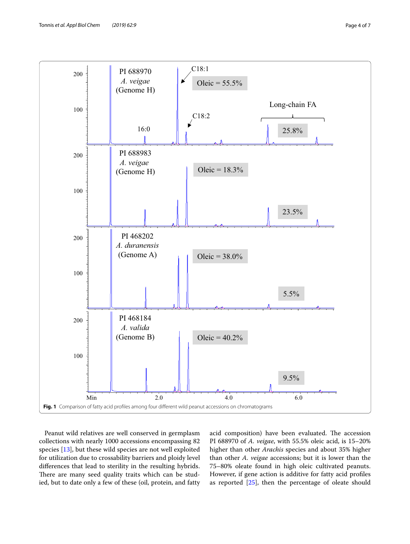

<span id="page-3-0"></span>Peanut wild relatives are well conserved in germplasm collections with nearly 1000 accessions encompassing 82 species [[13\]](#page-6-6), but these wild species are not well exploited for utilization due to crossability barriers and ploidy level diferences that lead to sterility in the resulting hybrids. There are many seed quality traits which can be studied, but to date only a few of these (oil, protein, and fatty acid composition) have been evaluated. The accession PI 688970 of *A. veigae*, with 55.5% oleic acid, is 15–20% higher than other *Arachis* species and about 35% higher than other *A. veigae* accessions; but it is lower than the 75–80% oleate found in high oleic cultivated peanuts. However, if gene action is additive for fatty acid profles as reported [[25\]](#page-6-18), then the percentage of oleate should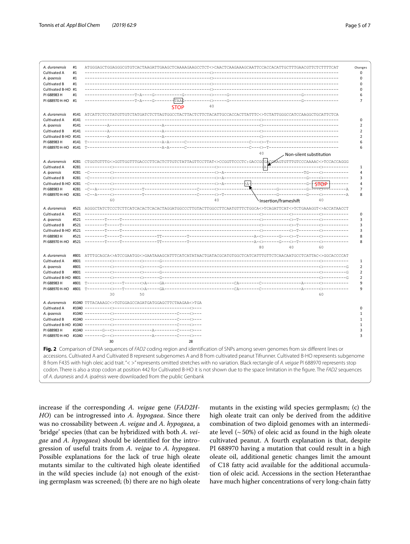| A. duranensis                     | #1          | ATGGGAGCTGGAGGGCGTGTCACTAAGATTGAAGCTCAAAGAAGCCTCT<>CAACTCAAGAAAGCAATTCCACCACTTTGCTTTTGAACGTTCTCTTTTCA                                               | Changes       |
|-----------------------------------|-------------|-----------------------------------------------------------------------------------------------------------------------------------------------------|---------------|
| Cultivated A                      | #1          |                                                                                                                                                     |               |
| A. ipaensis                       | #1          |                                                                                                                                                     |               |
| Cultivated B                      | #1          |                                                                                                                                                     |               |
| Cultivated B-HO #1<br>PI 688983 H | #1          |                                                                                                                                                     |               |
| PI 688970 H-HO                    | #1          | -таа¢                                                                                                                                               |               |
|                                   |             | 40                                                                                                                                                  |               |
|                                   |             | <b>STOP</b>                                                                                                                                         |               |
| A. duranensis                     | #141        |                                                                                                                                                     |               |
| Cultivated A                      | #141        |                                                                                                                                                     |               |
| A. ipaensis                       | #141        |                                                                                                                                                     |               |
| Cultivated B                      | #141        |                                                                                                                                                     |               |
| Cultivated B-HO #141              |             |                                                                                                                                                     |               |
| PI 688983 H                       | #141        |                                                                                                                                                     |               |
| PI 688970 H-HO                    | #141        |                                                                                                                                                     |               |
|                                   |             | 40<br>Non-silent substitution                                                                                                                       |               |
| A. duranensis                     |             | #281 CTGGTGTTTG<>GGTTGGTTTGACCCTTCACTCTTGTCTATTAGTTCCTTAT<>CCGGTTCCCTC:GACCGGGACGAGTGTTTGTCCCAAAAC<>TCCACCAGGG                                      |               |
| Cultivated A                      | #281        | †A†                                                                                                                                                 |               |
| A. ipaensis                       | #281        | -----------<br>$-C-$                                                                                                                                |               |
| Cultivated B                      | #281        |                                                                                                                                                     |               |
| Cultivated B-HO #281              |             | -+a+-                                                                                                                                               | <b>STOP</b>   |
| PI 688983 H                       | #281        | ---R                                                                                                                                                | $-\lambda$    |
|                                   |             | PI 688970 H-HO #281 -C--A-----<><br>$---G-$<br>·<>-T--                                                                                              | –<>---------A |
|                                   |             | 60<br>40<br>Insertion/frameshift                                                                                                                    | 40            |
|                                   |             |                                                                                                                                                     |               |
| A. duranensis                     |             | #521 AGGGCTATCTCCCTCTTCATCACACTCACACTAGGATGGCCCTTGTACTTGGCCTTCAATGTTTCTGGCA<>TCAGATTCAT<>TCTGAAAGGT<>ACCATAACCT                                     |               |
| Cultivated A                      | #521        |                                                                                                                                                     |               |
| A. ipaensis                       | #521        |                                                                                                                                                     |               |
| Cultivated B                      | #521        | -7-----7-                                                                                                                                           |               |
| Cultivated B-HO #521              |             |                                                                                                                                                     |               |
| PI 688983 H                       | #521        |                                                                                                                                                     |               |
| PI 688970 H-HO                    | #521        | $-TTT - - -$<br>80<br>40                                                                                                                            | 60            |
|                                   |             |                                                                                                                                                     |               |
| A. duranensis                     | #801        | ATTTGCAGCA<>ATCCGAATGG<>GAATAAAGCATTTCATCATATAACTGATACGCATGTCGCTCATTCTCTCAACAATGCCTCATTAC<>GGCACCCCAT                                               |               |
| Cultivated A                      | #801        |                                                                                                                                                     |               |
| A. ipaensis                       | #801        |                                                                                                                                                     | $---G$        |
| Cultivated B                      | #801        |                                                                                                                                                     |               |
| Cultivated B-HO #801              |             |                                                                                                                                                     |               |
| PI 688983 H                       | #801        |                                                                                                                                                     |               |
| PI 688970 H-HO                    |             |                                                                                                                                                     |               |
|                                   |             | 30<br>50                                                                                                                                            | 60            |
| A. duranensis                     |             | #1040 TTTACAAAGC<>TGTGGAGCCAGATGATGGAGCTTCTAAGAA<>TGA                                                                                               |               |
| Cultivated A                      |             |                                                                                                                                                     |               |
| A. ipaensis                       | #1040 $---$ |                                                                                                                                                     |               |
| Cultivated B                      |             | $#1040$ ----                                                                                                                                        |               |
| Cultivated B-HO #1040             |             |                                                                                                                                                     |               |
| PI 688983 H                       | #1040       |                                                                                                                                                     |               |
| PI 688970 H-HO                    | #1040       |                                                                                                                                                     |               |
|                                   |             | 30<br>28                                                                                                                                            |               |
|                                   |             |                                                                                                                                                     |               |
|                                   |             | Fig. 2 Comparison of DNA sequences of FAD2 coding region and identification of SNPs among seven genomes from six different lines or                 |               |
|                                   |             | accessions. Cultivated A and Cultivated B represent subgenomes A and B from cultivated peanut Tifrunner. Cultivated B-HO represents subgenome       |               |
|                                   |             | B from F435 with high oleic acid trait."< >" represents omitted stretches with no variation. Black rectangle of A. veigae PI 688970 represents stop |               |
|                                   |             |                                                                                                                                                     |               |
|                                   |             | codon. There is also a stop codon at position 442 for Cultivated B-HO it is not shown due to the space limitation in the figure. The FAD2 sequences |               |
|                                   |             | of A. duranesis and A. ipaënsis were downloaded from the public Genbank                                                                             |               |

<span id="page-4-0"></span>increase if the corresponding *A. veigae* gene (*FAD2H*-*HO*) can be introgressed into *A. hypogaea*. Since there was no crossability between *A. veigae* and *A. hypogaea*, a 'bridge' species (that can be hybridized with both *A. veigae* and *A. hypogaea*) should be identifed for the introgression of useful traits from *A. veigae* to *A. hypogaea*. Possible explanations for the lack of true high oleate mutants similar to the cultivated high oleate identifed in the wild species include (a) not enough of the existing germplasm was screened; (b) there are no high oleate mutants in the existing wild species germplasm; (c) the high oleate trait can only be derived from the additive combination of two diploid genomes with an intermediate level  $($   $\sim$  50%) of oleic acid as found in the high oleate cultivated peanut. A fourth explanation is that, despite PI 688970 having a mutation that could result in a high oleate oil, additional genetic changes limit the amount of C18 fatty acid available for the additional accumulation of oleic acid. Accessions in the section Heteranthae have much higher concentrations of very long-chain fatty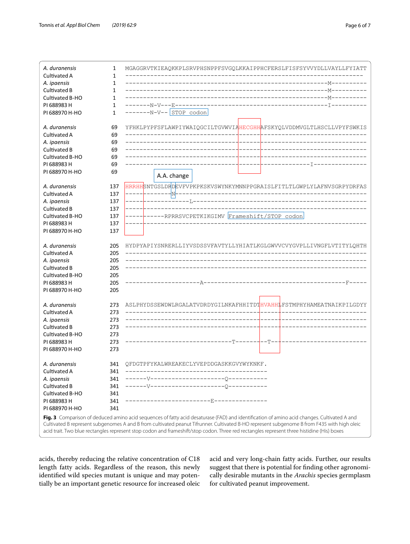

<span id="page-5-0"></span>acids, thereby reducing the relative concentration of C18 length fatty acids. Regardless of the reason, this newly identifed wild species mutant is unique and may potentially be an important genetic resource for increased oleic acid and very long-chain fatty acids. Further, our results suggest that there is potential for fnding other agronomically desirable mutants in the *Arachis* species germplasm for cultivated peanut improvement.